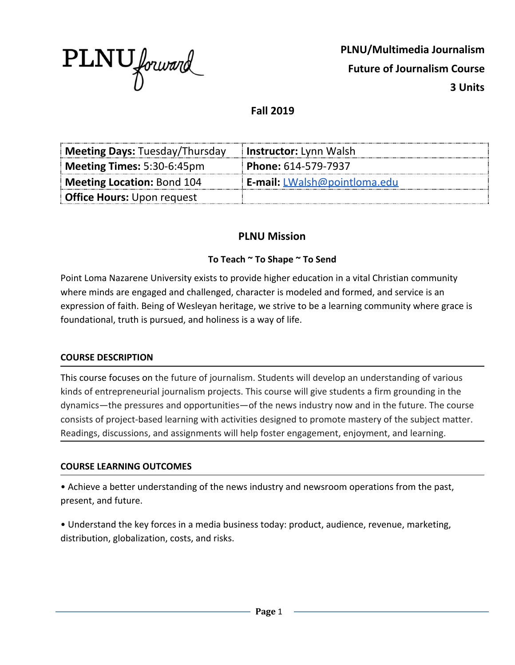

**PLNU/Multimedia Journalism Future of Journalism Course 3 Units**

**Fall 2019**

| <b>Meeting Days: Tuesday/Thursday</b> | <b>Instructor:</b> Lynn Walsh       |
|---------------------------------------|-------------------------------------|
| Meeting Times: 5:30-6:45pm            | Phone: 614-579-7937                 |
| Meeting Location: Bond 104            | <b>E-mail:</b> LWalsh@pointloma.edu |
| <b>Office Hours:</b> Upon request     |                                     |

# **PLNU Mission**

### **To Teach ~ To Shape ~ To Send**

Point Loma Nazarene University exists to provide higher education in a vital Christian community where minds are engaged and challenged, character is modeled and formed, and service is an expression of faith. Being of Wesleyan heritage, we strive to be a learning community where grace is foundational, truth is pursued, and holiness is a way of life.

### **COURSE DESCRIPTION**

This course focuses on the future of journalism. Students will develop an understanding of various kinds of entrepreneurial journalism projects. This course will give students a firm grounding in the dynamics—the pressures and opportunities—of the news industry now and in the future. The course consists of project-based learning with activities designed to promote mastery of the subject matter. Readings, discussions, and assignments will help foster engagement, enjoyment, and learning.

### **COURSE LEARNING OUTCOMES**

• Achieve a better understanding of the news industry and newsroom operations from the past, present, and future.

• Understand the key forces in a media business today: product, audience, revenue, marketing, distribution, globalization, costs, and risks.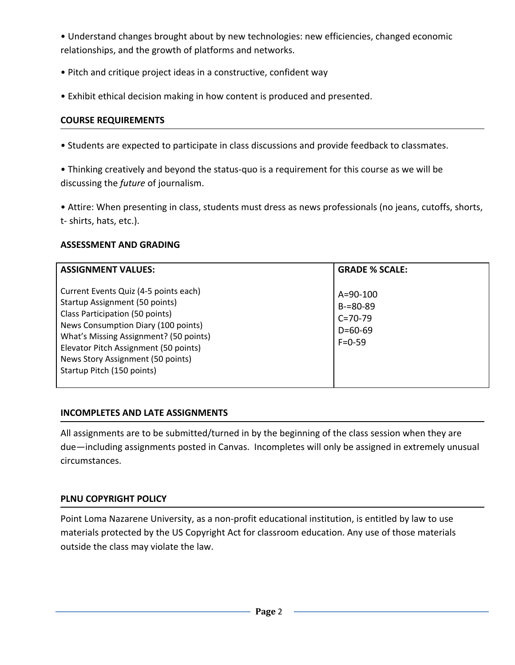• Understand changes brought about by new technologies: new efficiencies, changed economic relationships, and the growth of platforms and networks.

- Pitch and critique project ideas in a constructive, confident way
- Exhibit ethical decision making in how content is produced and presented.

# **COURSE REQUIREMENTS**

• Students are expected to participate in class discussions and provide feedback to classmates.

• Thinking creatively and beyond the status-quo is a requirement for this course as we will be discussing the *future* of journalism.

• Attire: When presenting in class, students must dress as news professionals (no jeans, cutoffs, shorts, t- shirts, hats, etc.).

# **ASSESSMENT AND GRADING**

| <b>ASSIGNMENT VALUES:</b>                                                                                                                                                                                                                                                                               | <b>GRADE % SCALE:</b>                                                             |
|---------------------------------------------------------------------------------------------------------------------------------------------------------------------------------------------------------------------------------------------------------------------------------------------------------|-----------------------------------------------------------------------------------|
| Current Events Quiz (4-5 points each)<br>Startup Assignment (50 points)<br>Class Participation (50 points)<br>News Consumption Diary (100 points)<br>What's Missing Assignment? (50 points)<br>Elevator Pitch Assignment (50 points)<br>News Story Assignment (50 points)<br>Startup Pitch (150 points) | $A = 90 - 100$<br>$B = 80 - 89$<br>$C = 70 - 79$<br>$D = 60 - 69$<br>$F = 0 - 59$ |

# **INCOMPLETES AND LATE ASSIGNMENTS**

All assignments are to be submitted/turned in by the beginning of the class session when they are due—including assignments posted in Canvas. Incompletes will only be assigned in extremely unusual circumstances.

# **PLNU COPYRIGHT POLICY**

Point Loma Nazarene University, as a non-profit educational institution, is entitled by law to use materials protected by the US Copyright Act for classroom education. Any use of those materials outside the class may violate the law.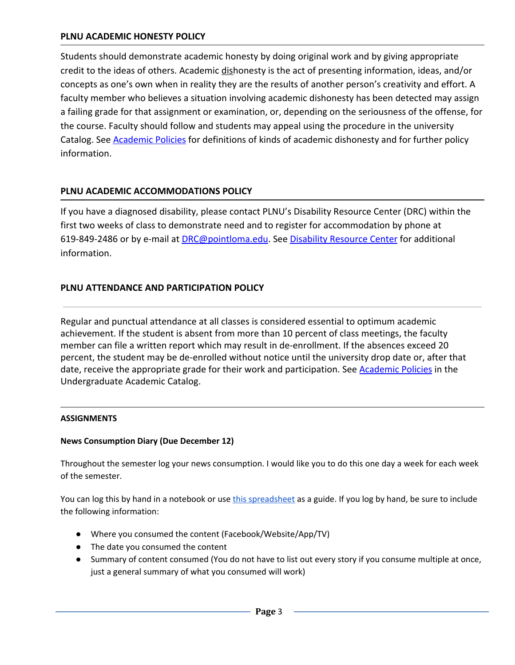### **PLNU ACADEMIC HONESTY POLICY**

Students should demonstrate academic honesty by doing original work and by giving appropriate credit to the ideas of others. Academic dishonesty is the act of presenting information, ideas, and/or concepts as one's own when in reality they are the results of another person's creativity and effort. A faculty member who believes a situation involving academic dishonesty has been detected may assign a failing grade for that assignment or examination, or, depending on the seriousness of the offense, for the course. Faculty should follow and students may appeal using the procedure in the university Catalog. See [Academic Policies](http://catalog.pointloma.edu/content.php?catoid=18&navoid=1278) for definitions of kinds of academic dishonesty and for further policy information.

## **PLNU ACADEMIC ACCOMMODATIONS POLICY**

If you have a diagnosed disability, please contact PLNU's Disability Resource Center (DRC) within the first two weeks of class to demonstrate need and to register for accommodation by phone at 619-849-2486 or by e-mail at [DRC@pointloma.edu.](mailto:DRC@pointloma.edu) See [Disability Resource Center](http://www.pointloma.edu/experience/offices/administrative-offices/academic-advising-office/disability-resource-center) for additional information.

### **PLNU ATTENDANCE AND PARTICIPATION POLICY**

Regular and punctual attendance at all classes is considered essential to optimum academic achievement. If the student is absent from more than 10 percent of class meetings, the faculty member can file a written report which may result in de-enrollment. If the absences exceed 20 percent, the student may be de-enrolled without notice until the university drop date or, after that date, receive the appropriate grade for their work and participation. See [Academic Policies](http://catalog.pointloma.edu/content.php?catoid=18&navoid=1278) in the Undergraduate Academic Catalog.

### **ASSIGNMENTS**

### **News Consumption Diary (Due December 12)**

Throughout the semester log your news consumption. I would like you to do this one day a week for each week of the semester.

You can log this by hand in a not[e](https://docs.google.com/spreadsheets/d/1nBnN8gGZVDYF0p4XmlTnhX654fId2OJj5KLbYiCcw6M/edit?usp=sharing)book or use this [spreadsheet](https://docs.google.com/spreadsheets/d/1nBnN8gGZVDYF0p4XmlTnhX654fId2OJj5KLbYiCcw6M/edit?usp=sharing) as a guide. If you log by hand, be sure to include the following information:

- Where you consumed the content (Facebook/Website/App/TV)
- The date you consumed the content
- Summary of content consumed (You do not have to list out every story if you consume multiple at once, just a general summary of what you consumed will work)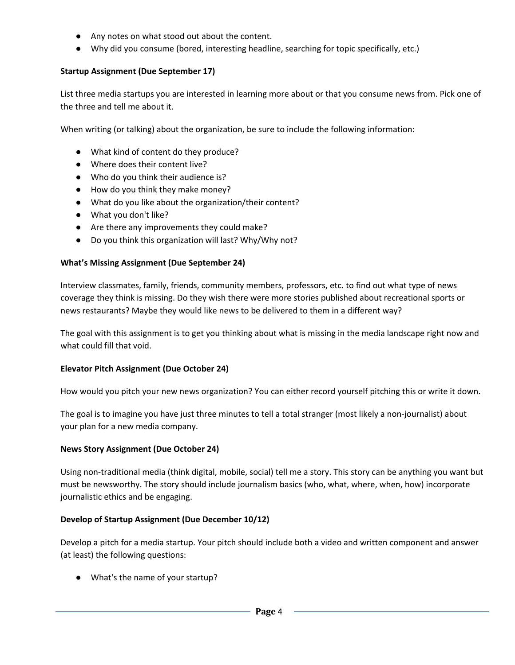- Any notes on what stood out about the content.
- Why did you consume (bored, interesting headline, searching for topic specifically, etc.)

### **Startup Assignment (Due September 17)**

List three media startups you are interested in learning more about or that you consume news from. Pick one of the three and tell me about it.

When writing (or talking) about the organization, be sure to include the following information:

- What kind of content do they produce?
- Where does their content live?
- Who do you think their audience is?
- How do you think they make money?
- What do you like about the organization/their content?
- What you don't like?
- Are there any improvements they could make?
- Do you think this organization will last? Why/Why not?

#### **What's Missing Assignment (Due September 24)**

Interview classmates, family, friends, community members, professors, etc. to find out what type of news coverage they think is missing. Do they wish there were more stories published about recreational sports or news restaurants? Maybe they would like news to be delivered to them in a different way?

The goal with this assignment is to get you thinking about what is missing in the media landscape right now and what could fill that void.

### **Elevator Pitch Assignment (Due October 24)**

How would you pitch your new news organization? You can either record yourself pitching this or write it down.

The goal is to imagine you have just three minutes to tell a total stranger (most likely a non-journalist) about your plan for a new media company.

### **News Story Assignment (Due October 24)**

Using non-traditional media (think digital, mobile, social) tell me a story. This story can be anything you want but must be newsworthy. The story should include journalism basics (who, what, where, when, how) incorporate journalistic ethics and be engaging.

### **Develop of Startup Assignment (Due December 10/12)**

Develop a pitch for a media startup. Your pitch should include both a video and written component and answer (at least) the following questions:

● What's the name of your startup?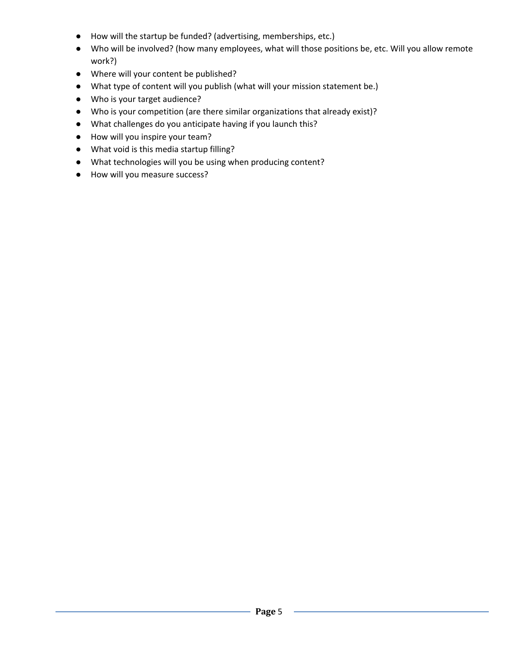- How will the startup be funded? (advertising, memberships, etc.)
- Who will be involved? (how many employees, what will those positions be, etc. Will you allow remote work?)
- Where will your content be published?
- What type of content will you publish (what will your mission statement be.)
- Who is your target audience?
- Who is your competition (are there similar organizations that already exist)?
- What challenges do you anticipate having if you launch this?
- How will you inspire your team?
- What void is this media startup filling?
- What technologies will you be using when producing content?
- How will you measure success?